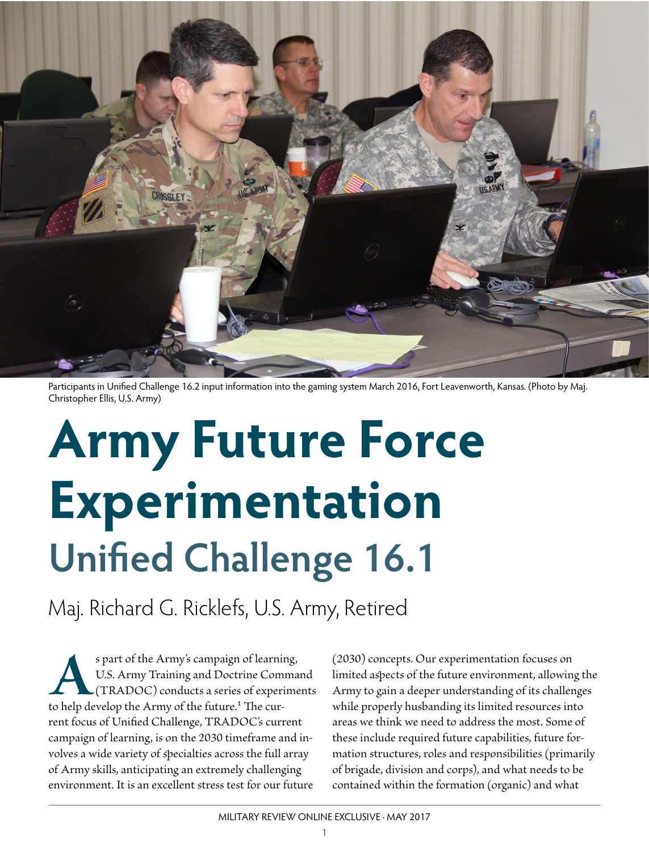

Participants in Unified Challenge 16.2 input information into the gaming system March 2016, Fort Leavenworth, Kansas. (Photo by Maj. Christopher Ellis, U.S. Army)

# **Army Future Force Experimentation Unified Challenge 16.1**

Maj. Richard G. Ricklefs, U.S. Army, Retired

s part of the Army's campaign of learning,<br>U.S. Army Training and Doctrine Comma<br>(TRADOC) conducts a series of experime<br>to help develop the Army of the future.<sup>1</sup> The cur-U.S. Army Training and Doctrine Command (TRADOC) conducts a series of experiments rent focus of Unified Challenge, TRADOC's current campaign of learning, is on the 2030 timeframe and involves a wide variety of specialties across the full array of Army skills, anticipating an extremely challenging environment. It is an excellent stress test for our future

(2030) concepts. Our experimentation focuses on limited aspects of the future environment, allowing the Army to gain a deeper understanding of its challenges while properly husbanding its limited resources into areas we think we need to address the most. Some of these include required future capabilities, future formation structures, roles and responsibilities (primarily of brigade, division and corps), and what needs to be contained within the formation (organic) and what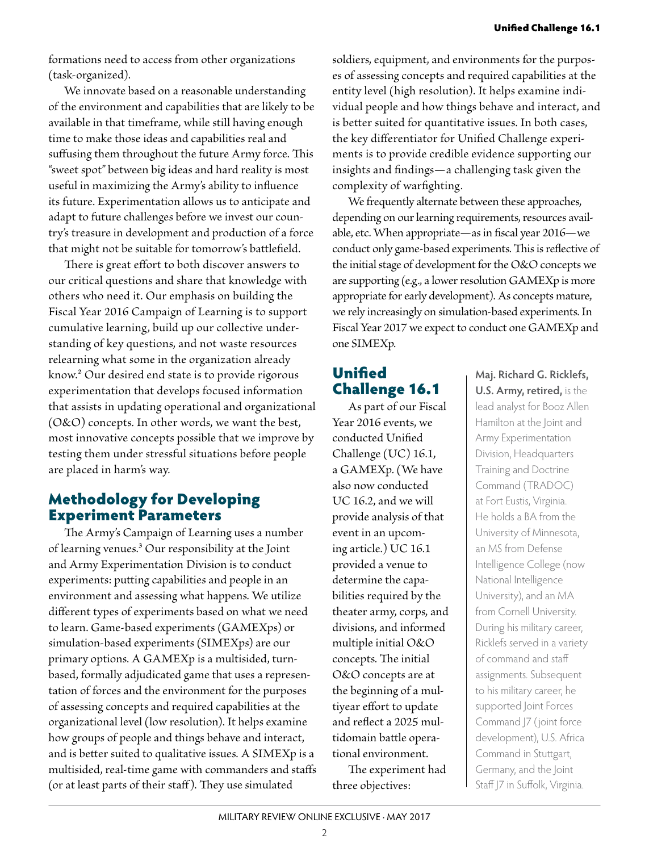formations need to access from other organizations (task-organized).

We innovate based on a reasonable understanding of the environment and capabilities that are likely to be available in that timeframe, while still having enough time to make those ideas and capabilities real and suffusing them throughout the future Army force. This "sweet spot" between big ideas and hard reality is most useful in maximizing the Army's ability to influence its future. Experimentation allows us to anticipate and adapt to future challenges before we invest our country's treasure in development and production of a force that might not be suitable for tomorrow's battlefield.

There is great effort to both discover answers to our critical questions and share that knowledge with others who need it. Our emphasis on building the Fiscal Year 2016 Campaign of Learning is to support cumulative learning, build up our collective understanding of key questions, and not waste resources relearning what some in the organization already know.2 Our desired end state is to provide rigorous experimentation that develops focused information that assists in updating operational and organizational (O&O) concepts. In other words, we want the best, most innovative concepts possible that we improve by testing them under stressful situations before people are placed in harm's way.

#### Methodology for Developing Experiment Parameters

The Army's Campaign of Learning uses a number of learning venues.3 Our responsibility at the Joint and Army Experimentation Division is to conduct experiments: putting capabilities and people in an environment and assessing what happens. We utilize different types of experiments based on what we need to learn. Game-based experiments (GAMEXps) or simulation-based experiments (SIMEXps) are our primary options. A GAMEXp is a multisided, turnbased, formally adjudicated game that uses a representation of forces and the environment for the purposes of assessing concepts and required capabilities at the organizational level (low resolution). It helps examine how groups of people and things behave and interact, and is better suited to qualitative issues. A SIMEXp is a multisided, real-time game with commanders and staffs (or at least parts of their staff). They use simulated

soldiers, equipment, and environments for the purposes of assessing concepts and required capabilities at the entity level (high resolution). It helps examine individual people and how things behave and interact, and is better suited for quantitative issues. In both cases, the key differentiator for Unified Challenge experiments is to provide credible evidence supporting our insights and findings—a challenging task given the complexity of warfighting.

We frequently alternate between these approaches, depending on our learning requirements, resources available, etc. When appropriate—as in fiscal year 2016—we conduct only game-based experiments. This is reflective of the initial stage of development for the O&O concepts we are supporting (e.g., a lower resolution GAMEXp is more appropriate for early development). As concepts mature, we rely increasingly on simulation-based experiments. In Fiscal Year 2017 we expect to conduct one GAMEXp and one SIMEXp.

## Unified Challenge 16.1

As part of our Fiscal Year 2016 events, we conducted Unified Challenge (UC) 16.1, a GAMEXp. (We have also now conducted UC 16.2, and we will provide analysis of that event in an upcoming article.) UC 16.1 provided a venue to determine the capabilities required by the theater army, corps, and divisions, and informed multiple initial O&O concepts. The initial O&O concepts are at the beginning of a multiyear effort to update and reflect a 2025 multidomain battle operational environment.

The experiment had three objectives:

**Maj. Richard G. Ricklefs, U.S. Army, retired,** is the lead analyst for Booz Allen Hamilton at the Joint and Army Experimentation Division, Headquarters Training and Doctrine Command (TRADOC) at Fort Eustis, Virginia. He holds a BA from the University of Minnesota, an MS from Defense Intelligence College (now National Intelligence University), and an MA from Cornell University. During his military career, Ricklefs served in a variety of command and staff assignments. Subsequent to his military career, he supported Joint Forces Command J7 ( joint force development), U.S. Africa Command in Stuttgart, Germany, and the Joint Staff J7 in Suffolk, Virginia.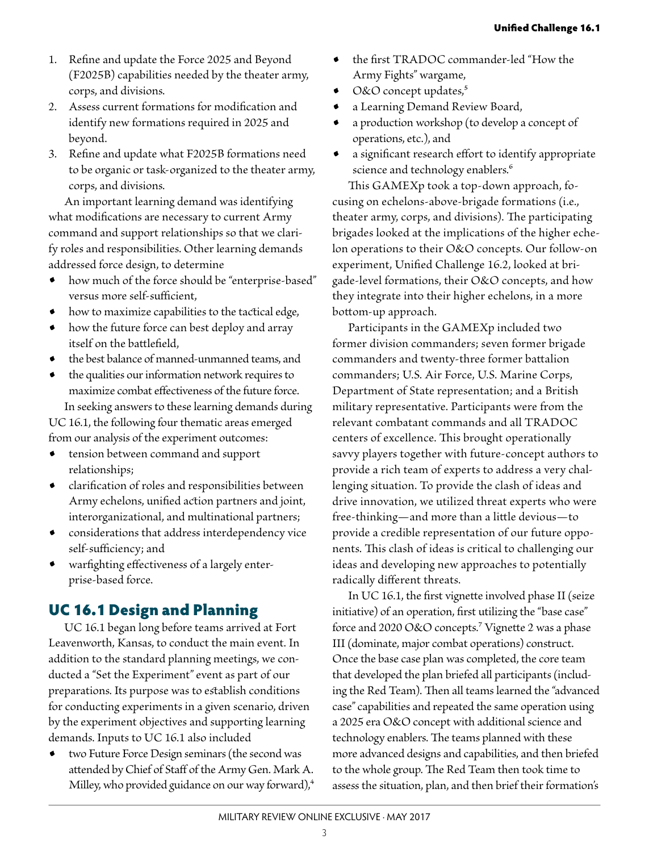- 1. Refine and update the Force 2025 and Beyond (F2025B) capabilities needed by the theater army, corps, and divisions.
- 2. Assess current formations for modification and identify new formations required in 2025 and beyond.
- 3. Refine and update what F2025B formations need to be organic or task-organized to the theater army, corps, and divisions.

An important learning demand was identifying what modifications are necessary to current Army command and support relationships so that we clarify roles and responsibilities. Other learning demands addressed force design, to determine

- how much of the force should be "enterprise-based" versus more self-sufficient,
- how to maximize capabilities to the tactical edge,
- how the future force can best deploy and array itself on the battlefield,
- the best balance of manned-unmanned teams, and
- the qualities our information network requires to maximize combat effectiveness of the future force. In seeking answers to these learning demands during

UC 16.1, the following four thematic areas emerged from our analysis of the experiment outcomes:

- tension between command and support relationships;
- clarification of roles and responsibilities between Army echelons, unified action partners and joint, interorganizational, and multinational partners;
- considerations that address interdependency vice self-sufficiency; and
- warfighting effectiveness of a largely enterprise-based force.

## UC 16.1 Design and Planning

UC 16.1 began long before teams arrived at Fort Leavenworth, Kansas, to conduct the main event. In addition to the standard planning meetings, we conducted a "Set the Experiment" event as part of our preparations. Its purpose was to establish conditions for conducting experiments in a given scenario, driven by the experiment objectives and supporting learning demands. Inputs to UC 16.1 also included

two Future Force Design seminars (the second was attended by Chief of Staff of the Army Gen. Mark A. Milley, who provided guidance on our way forward),<sup>4</sup>

- the first TRADOC commander-led "How the Army Fights" wargame,
- O&O concept updates,<sup>5</sup>
- a Learning Demand Review Board,
- a production workshop (to develop a concept of operations, etc.), and
- a significant research effort to identify appropriate science and technology enablers.<sup>6</sup>

This GAMEXp took a top-down approach, focusing on echelons-above-brigade formations (i.e., theater army, corps, and divisions). The participating brigades looked at the implications of the higher echelon operations to their O&O concepts. Our follow-on experiment, Unified Challenge 16.2, looked at brigade-level formations, their O&O concepts, and how they integrate into their higher echelons, in a more bottom-up approach.

Participants in the GAMEXp included two former division commanders; seven former brigade commanders and twenty-three former battalion commanders; U.S. Air Force, U.S. Marine Corps, Department of State representation; and a British military representative. Participants were from the relevant combatant commands and all TRADOC centers of excellence. This brought operationally savvy players together with future-concept authors to provide a rich team of experts to address a very challenging situation. To provide the clash of ideas and drive innovation, we utilized threat experts who were free-thinking—and more than a little devious—to provide a credible representation of our future opponents. This clash of ideas is critical to challenging our ideas and developing new approaches to potentially radically different threats.

In UC 16.1, the first vignette involved phase II (seize initiative) of an operation, first utilizing the "base case" force and 2020 O&O concepts.7 Vignette 2 was a phase III (dominate, major combat operations) construct. Once the base case plan was completed, the core team that developed the plan briefed all participants (including the Red Team). Then all teams learned the "advanced case" capabilities and repeated the same operation using a 2025 era O&O concept with additional science and technology enablers. The teams planned with these more advanced designs and capabilities, and then briefed to the whole group. The Red Team then took time to assess the situation, plan, and then brief their formation's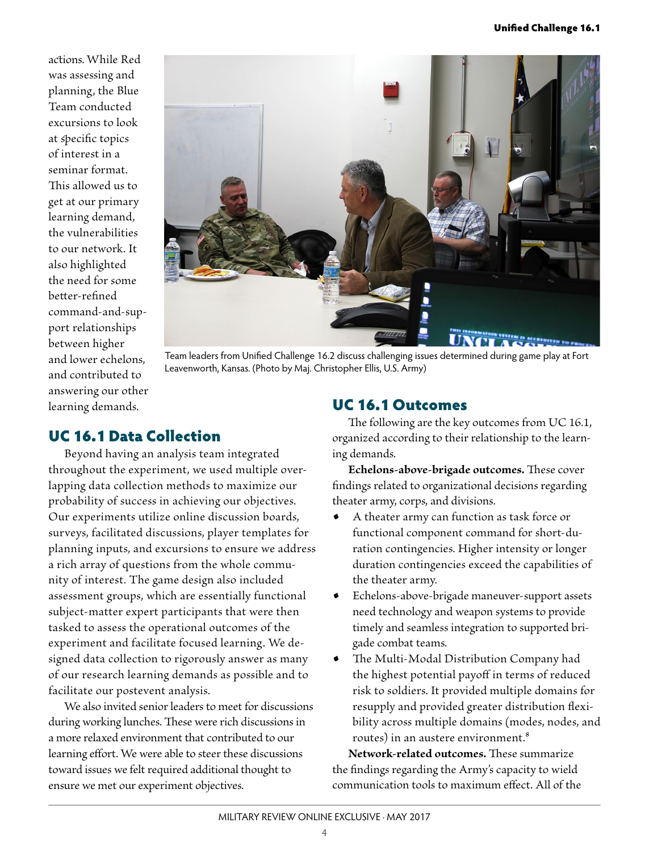actions. While Red was assessing and planning, the Blue Team conducted excursions to look at specific topics of interest in a seminar format. This allowed us to get at our primary learning demand, the vulnerabilities to our network. It also highlighted the need for some better-refined command-and-support relationships between higher and lower echelons, and contributed to answering our other learning demands.



Team leaders from Unified Challenge 16.2 discuss challenging issues determined during game play at Fort Leavenworth, Kansas. (Photo by Maj. Christopher Ellis, U.S. Army)

## UC 16.1 Data Collection

Beyond having an analysis team integrated throughout the experiment, we used multiple overlapping data collection methods to maximize our probability of success in achieving our objectives. Our experiments utilize online discussion boards, surveys, facilitated discussions, player templates for planning inputs, and excursions to ensure we address a rich array of questions from the whole community of interest. The game design also included assessment groups, which are essentially functional subject-matter expert participants that were then tasked to assess the operational outcomes of the experiment and facilitate focused learning. We designed data collection to rigorously answer as many of our research learning demands as possible and to facilitate our postevent analysis.

We also invited senior leaders to meet for discussions during working lunches. These were rich discussions in a more relaxed environment that contributed to our learning effort. We were able to steer these discussions toward issues we felt required additional thought to ensure we met our experiment objectives.

#### UC 16.1 Outcomes

The following are the key outcomes from UC 16.1, organized according to their relationship to the learning demands.

**Echelons-above-brigade outcomes.** These cover findings related to organizational decisions regarding theater army, corps, and divisions.

- A theater army can function as task force or functional component command for short-duration contingencies. Higher intensity or longer duration contingencies exceed the capabilities of the theater army.
- Echelons-above-brigade maneuver-support assets need technology and weapon systems to provide timely and seamless integration to supported brigade combat teams.
- The Multi-Modal Distribution Company had the highest potential payoff in terms of reduced risk to soldiers. It provided multiple domains for resupply and provided greater distribution flexibility across multiple domains (modes, nodes, and routes) in an austere environment.8

**Network-related outcomes.** These summarize the findings regarding the Army's capacity to wield communication tools to maximum effect. All of the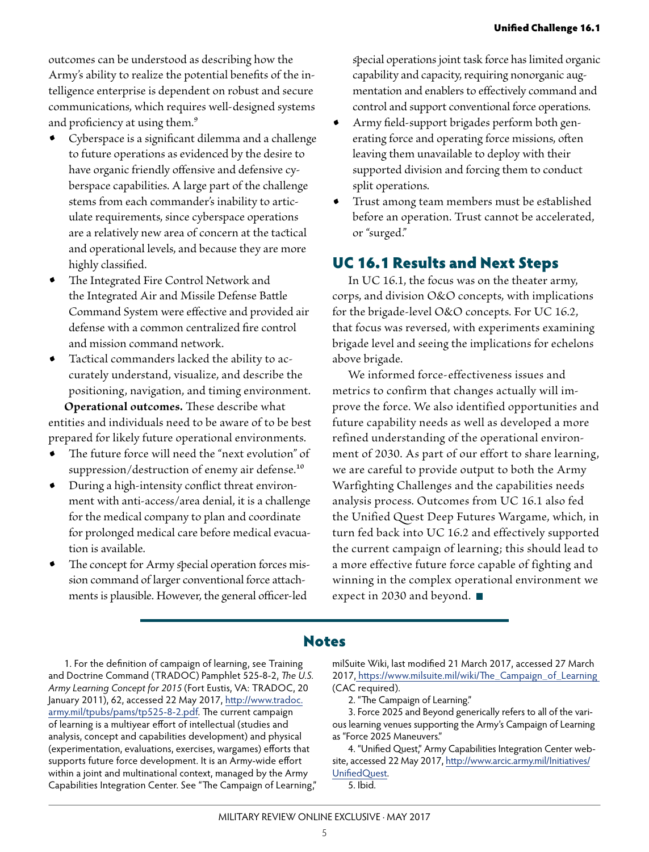outcomes can be understood as describing how the Army's ability to realize the potential benefits of the intelligence enterprise is dependent on robust and secure communications, which requires well-designed systems and proficiency at using them.<sup>9</sup>

- Cyberspace is a significant dilemma and a challenge to future operations as evidenced by the desire to have organic friendly offensive and defensive cyberspace capabilities. A large part of the challenge stems from each commander's inability to articulate requirements, since cyberspace operations are a relatively new area of concern at the tactical and operational levels, and because they are more highly classified.
- The Integrated Fire Control Network and the Integrated Air and Missile Defense Battle Command System were effective and provided air defense with a common centralized fire control and mission command network.
- Tactical commanders lacked the ability to accurately understand, visualize, and describe the positioning, navigation, and timing environment. **Operational outcomes.** These describe what

entities and individuals need to be aware of to be best prepared for likely future operational environments.

- The future force will need the "next evolution" of suppression/destruction of enemy air defense.<sup>10</sup>
- During a high-intensity conflict threat environment with anti-access/area denial, it is a challenge for the medical company to plan and coordinate for prolonged medical care before medical evacuation is available.
- The concept for Army special operation forces mission command of larger conventional force attachments is plausible. However, the general officer-led

special operations joint task force has limited organic capability and capacity, requiring nonorganic augmentation and enablers to effectively command and control and support conventional force operations.

- Army field-support brigades perform both generating force and operating force missions, often leaving them unavailable to deploy with their supported division and forcing them to conduct split operations.
- Trust among team members must be established before an operation. Trust cannot be accelerated, or "surged."

### UC 16.1 Results and Next Steps

In UC 16.1, the focus was on the theater army, corps, and division O&O concepts, with implications for the brigade-level O&O concepts. For UC 16.2, that focus was reversed, with experiments examining brigade level and seeing the implications for echelons above brigade.

We informed force-effectiveness issues and metrics to confirm that changes actually will improve the force. We also identified opportunities and future capability needs as well as developed a more refined understanding of the operational environment of 2030. As part of our effort to share learning, we are careful to provide output to both the Army Warfighting Challenges and the capabilities needs analysis process. Outcomes from UC 16.1 also fed the Unified Quest Deep Futures Wargame, which, in turn fed back into UC 16.2 and effectively supported the current campaign of learning; this should lead to a more effective future force capable of fighting and winning in the complex operational environment we expect in 2030 and beyond.

#### Notes

1. For the definition of campaign of learning, see Training and Doctrine Command (TRADOC) Pamphlet 525-8-2, *The U.S. Army Learning Concept for 2015* (Fort Eustis, VA: TRADOC, 20 January 2011), 62, accessed 22 May 2017, http://www.tradoc. army.mil/tpubs/pams/tp525-8-2.pdf. The current campaign of learning is a multiyear effort of intellectual (studies and analysis, concept and capabilities development) and physical (experimentation, evaluations, exercises, wargames) efforts that supports future force development. It is an Army-wide effort within a joint and multinational context, managed by the Army Capabilities Integration Center. See "The Campaign of Learning," milSuite Wiki, last modified 21 March 2017, accessed 27 March 2017, https://www.milsuite.mil/wiki/The\_Campaign\_of\_Learning (CAC required).

2. "The Campaign of Learning."

3. Force 2025 and Beyond generically refers to all of the various learning venues supporting the Army's Campaign of Learning as "Force 2025 Maneuvers."

4. "Unified Quest," Army Capabilities Integration Center website, accessed 22 May 2017, http://www.arcic.army.mil/Initiatives/ UnifiedQuest.

5. Ibid.